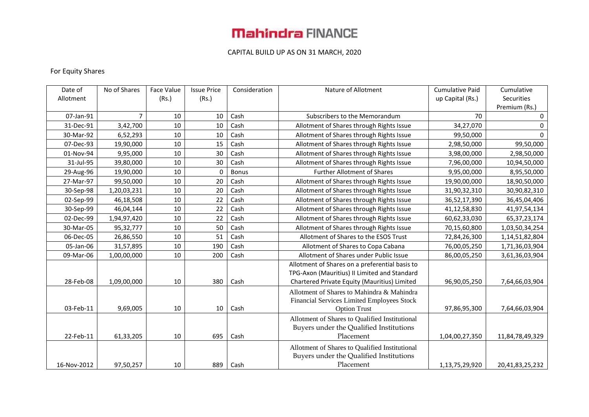### CAPITAL BUILD UP AS ON 31 MARCH, 2020

### For Equity Shares

| Date of     |           | No of Shares | Face Value | <b>Issue Price</b> | Consideration | Nature of Allotment                            | <b>Cumulative Paid</b> | Cumulative      |
|-------------|-----------|--------------|------------|--------------------|---------------|------------------------------------------------|------------------------|-----------------|
| Allotment   |           |              | (Rs.)      | (Rs.)              |               |                                                | up Capital (Rs.)       | Securities      |
|             |           |              |            |                    |               |                                                |                        | Premium (Rs.)   |
|             | 07-Jan-91 | 7            | 10         | 10                 | Cash          | Subscribers to the Memorandum                  | 70                     | 0               |
|             | 31-Dec-91 | 3,42,700     | 10         | 10                 | Cash          | Allotment of Shares through Rights Issue       | 34,27,070              | 0               |
|             | 30-Mar-92 | 6,52,293     | 10         | 10                 | Cash          | Allotment of Shares through Rights Issue       | 99,50,000              | 0               |
|             | 07-Dec-93 | 19,90,000    | 10         | 15                 | Cash          | Allotment of Shares through Rights Issue       | 2,98,50,000            | 99,50,000       |
|             | 01-Nov-94 | 9,95,000     | 10         | 30                 | Cash          | Allotment of Shares through Rights Issue       | 3,98,00,000            | 2,98,50,000     |
|             | 31-Jul-95 | 39,80,000    | 10         | 30                 | Cash          | Allotment of Shares through Rights Issue       | 7,96,00,000            | 10,94,50,000    |
|             | 29-Aug-96 | 19,90,000    | 10         | $\Omega$           | <b>Bonus</b>  | <b>Further Allotment of Shares</b>             | 9,95,00,000            | 8,95,50,000     |
|             | 27-Mar-97 | 99,50,000    | 10         | 20                 | Cash          | Allotment of Shares through Rights Issue       | 19,90,00,000           | 18,90,50,000    |
|             | 30-Sep-98 | 1,20,03,231  | 10         | 20                 | Cash          | Allotment of Shares through Rights Issue       | 31,90,32,310           | 30,90,82,310    |
|             | 02-Sep-99 | 46,18,508    | 10         | 22                 | Cash          | Allotment of Shares through Rights Issue       | 36,52,17,390           | 36,45,04,406    |
|             | 30-Sep-99 | 46,04,144    | 10         | 22                 | Cash          | Allotment of Shares through Rights Issue       | 41,12,58,830           | 41,97,54,134    |
|             | 02-Dec-99 | 1,94,97,420  | 10         | 22                 | Cash          | Allotment of Shares through Rights Issue       | 60,62,33,030           | 65, 37, 23, 174 |
|             | 30-Mar-05 | 95,32,777    | 10         | 50                 | Cash          | Allotment of Shares through Rights Issue       | 70,15,60,800           | 1,03,50,34,254  |
|             | 06-Dec-05 | 26,86,550    | 10         | 51                 | Cash          | Allotment of Shares to the ESOS Trust          | 72,84,26,300           | 1,14,51,82,804  |
|             | 05-Jan-06 | 31,57,895    | 10         | 190                | Cash          | Allotment of Shares to Copa Cabana             | 76,00,05,250           | 1,71,36,03,904  |
|             | 09-Mar-06 | 1,00,00,000  | 10         | 200                | Cash          | Allotment of Shares under Public Issue         | 86,00,05,250           | 3,61,36,03,904  |
|             |           |              |            |                    |               | Allotment of Shares on a preferential basis to |                        |                 |
|             |           |              |            |                    |               | TPG-Axon (Mauritius) II Limited and Standard   |                        |                 |
|             | 28-Feb-08 | 1,09,00,000  | 10         | 380                | Cash          | Chartered Private Equity (Mauritius) Limited   | 96,90,05,250           | 7,64,66,03,904  |
|             |           |              |            |                    |               | Allotment of Shares to Mahindra & Mahindra     |                        |                 |
|             |           |              |            |                    |               | Financial Services Limited Employees Stock     |                        |                 |
|             | 03-Feb-11 | 9,69,005     | 10         | 10                 | Cash          | <b>Option Trust</b>                            | 97,86,95,300           | 7,64,66,03,904  |
|             |           |              |            |                    |               | Allotment of Shares to Qualified Institutional |                        |                 |
|             |           |              |            |                    |               | Buyers under the Qualified Institutions        |                        |                 |
|             | 22-Feb-11 | 61,33,205    | 10         | 695                | Cash          | Placement                                      | 1,04,00,27,350         | 11,84,78,49,329 |
|             |           |              |            |                    |               | Allotment of Shares to Qualified Institutional |                        |                 |
|             |           |              |            |                    |               | Buyers under the Qualified Institutions        |                        |                 |
| 16-Nov-2012 |           | 97,50,257    | 10         | 889                | Cash          | Placement                                      | 1,13,75,29,920         | 20,41,83,25,232 |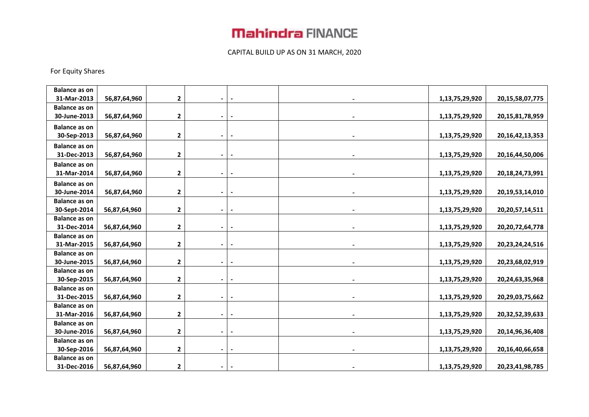### CAPITAL BUILD UP AS ON 31 MARCH, 2020

#### For Equity Shares

| <b>Balance as on</b>                |              |                         |                          |                          |                |                     |
|-------------------------------------|--------------|-------------------------|--------------------------|--------------------------|----------------|---------------------|
| 31-Mar-2013                         | 56,87,64,960 | $\mathbf{2}$            |                          |                          | 1,13,75,29,920 | 20, 15, 58, 07, 775 |
| <b>Balance as on</b>                |              |                         |                          |                          |                |                     |
| 30-June-2013                        | 56,87,64,960 | $\mathbf{2}$            | $\overline{\phantom{a}}$ |                          | 1,13,75,29,920 | 20, 15, 81, 78, 959 |
| <b>Balance as on</b>                |              |                         |                          |                          |                |                     |
| 30-Sep-2013                         | 56,87,64,960 | 2                       | $\blacksquare$           | $\blacksquare$           | 1,13,75,29,920 | 20, 16, 42, 13, 353 |
| <b>Balance as on</b>                |              |                         |                          |                          |                |                     |
| 31-Dec-2013                         | 56,87,64,960 | $\mathbf{2}$            | $\blacksquare$           |                          | 1,13,75,29,920 | 20,16,44,50,006     |
| <b>Balance as on</b>                |              |                         |                          |                          |                |                     |
| 31-Mar-2014                         | 56,87,64,960 | 2                       |                          |                          | 1,13,75,29,920 | 20, 18, 24, 73, 991 |
| <b>Balance as on</b>                |              |                         |                          |                          |                |                     |
| 30-June-2014                        | 56,87,64,960 | 2                       |                          |                          | 1,13,75,29,920 | 20,19,53,14,010     |
| <b>Balance as on</b>                |              |                         |                          |                          |                |                     |
| 30-Sept-2014                        | 56,87,64,960 | $\mathbf{2}$            |                          |                          | 1,13,75,29,920 | 20, 20, 57, 14, 511 |
| <b>Balance as on</b>                |              |                         |                          |                          |                |                     |
| 31-Dec-2014                         | 56,87,64,960 | 2                       | $\blacksquare$           | $\overline{\phantom{a}}$ | 1,13,75,29,920 | 20, 20, 72, 64, 778 |
| <b>Balance as on</b>                |              |                         |                          |                          |                |                     |
| 31-Mar-2015                         | 56,87,64,960 | 2                       |                          |                          | 1,13,75,29,920 | 20, 23, 24, 24, 516 |
| <b>Balance as on</b>                |              |                         |                          |                          |                |                     |
| 30-June-2015                        | 56,87,64,960 | $\mathbf{2}$            |                          |                          | 1,13,75,29,920 | 20,23,68,02,919     |
| <b>Balance as on</b>                |              |                         |                          |                          |                |                     |
| 30-Sep-2015                         | 56,87,64,960 | $\mathbf{2}$            |                          |                          | 1,13,75,29,920 | 20,24,63,35,968     |
| <b>Balance as on</b>                |              |                         |                          |                          |                |                     |
| 31-Dec-2015                         | 56,87,64,960 | $\mathbf{2}$            |                          |                          | 1,13,75,29,920 | 20,29,03,75,662     |
| <b>Balance as on</b>                |              |                         |                          |                          |                |                     |
| 31-Mar-2016<br><b>Balance as on</b> | 56,87,64,960 | 2                       |                          |                          | 1,13,75,29,920 | 20,32,52,39,633     |
| 30-June-2016                        | 56,87,64,960 | $\overline{\mathbf{2}}$ |                          |                          | 1,13,75,29,920 | 20,14,96,36,408     |
| <b>Balance as on</b>                |              |                         |                          |                          |                |                     |
| 30-Sep-2016                         | 56,87,64,960 | 2                       |                          |                          | 1,13,75,29,920 | 20,16,40,66,658     |
| <b>Balance as on</b>                |              |                         |                          |                          |                |                     |
| 31-Dec-2016                         | 56,87,64,960 | 2                       |                          |                          | 1,13,75,29,920 | 20,23,41,98,785     |
|                                     |              |                         |                          |                          |                |                     |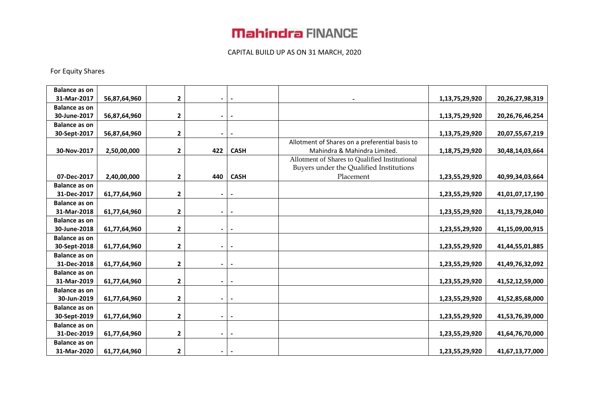#### CAPITAL BUILD UP AS ON 31 MARCH, 2020

#### For Equity Shares

| <b>Balance as on</b> |              |              |                          |             |                                                |                |                     |
|----------------------|--------------|--------------|--------------------------|-------------|------------------------------------------------|----------------|---------------------|
| 31-Mar-2017          | 56,87,64,960 | 2            | -                        |             |                                                | 1,13,75,29,920 | 20,26,27,98,319     |
| <b>Balance as on</b> |              |              |                          |             |                                                |                |                     |
| 30-June-2017         | 56,87,64,960 | $\mathbf 2$  | $\overline{\phantom{a}}$ |             |                                                | 1,13,75,29,920 | 20, 26, 76, 46, 254 |
| <b>Balance as on</b> |              |              |                          |             |                                                |                |                     |
| 30-Sept-2017         | 56,87,64,960 | $\mathbf 2$  | $\blacksquare$           |             |                                                | 1,13,75,29,920 | 20,07,55,67,219     |
|                      |              |              |                          |             | Allotment of Shares on a preferential basis to |                |                     |
| 30-Nov-2017          | 2,50,00,000  | $\mathbf{2}$ | 422                      | <b>CASH</b> | Mahindra & Mahindra Limited.                   | 1,18,75,29,920 | 30,48,14,03,664     |
|                      |              |              |                          |             | Allotment of Shares to Qualified Institutional |                |                     |
|                      |              |              |                          |             | Buyers under the Qualified Institutions        |                |                     |
| 07-Dec-2017          | 2,40,00,000  | 2            | 440                      | <b>CASH</b> | Placement                                      | 1,23,55,29,920 | 40,99,34,03,664     |
| <b>Balance as on</b> |              |              |                          |             |                                                |                |                     |
| 31-Dec-2017          | 61,77,64,960 | $\mathbf 2$  | $\blacksquare$           |             |                                                | 1,23,55,29,920 | 41,01,07,17,190     |
| <b>Balance as on</b> |              |              |                          |             |                                                |                |                     |
| 31-Mar-2018          | 61,77,64,960 | 2            | $\blacksquare$           |             |                                                | 1,23,55,29,920 | 41,13,79,28,040     |
| <b>Balance as on</b> |              |              |                          |             |                                                |                |                     |
| 30-June-2018         | 61,77,64,960 | 2            | $\blacksquare$           |             |                                                | 1,23,55,29,920 | 41,15,09,00,915     |
| <b>Balance as on</b> |              |              |                          |             |                                                |                |                     |
| 30-Sept-2018         | 61,77,64,960 | $\mathbf{2}$ | $\blacksquare$           |             |                                                | 1,23,55,29,920 | 41,44,55,01,885     |
| <b>Balance as on</b> |              |              |                          |             |                                                |                |                     |
| 31-Dec-2018          | 61,77,64,960 | $\mathbf 2$  | $\blacksquare$           |             |                                                | 1,23,55,29,920 | 41,49,76,32,092     |
| <b>Balance as on</b> |              |              |                          |             |                                                |                |                     |
| 31-Mar-2019          | 61,77,64,960 | $\mathbf{2}$ | ۰                        |             |                                                | 1,23,55,29,920 | 41,52,12,59,000     |
| <b>Balance as on</b> |              |              |                          |             |                                                |                |                     |
| 30-Jun-2019          | 61,77,64,960 | $\mathbf 2$  | $\overline{\phantom{0}}$ |             |                                                | 1,23,55,29,920 | 41,52,85,68,000     |
| <b>Balance as on</b> |              |              |                          |             |                                                |                |                     |
| 30-Sept-2019         | 61,77,64,960 | $\mathbf 2$  | $\blacksquare$           |             |                                                | 1,23,55,29,920 | 41,53,76,39,000     |
| <b>Balance as on</b> |              |              |                          |             |                                                |                |                     |
| 31-Dec-2019          | 61,77,64,960 | $\mathbf{2}$ | $\blacksquare$           |             |                                                | 1,23,55,29,920 | 41,64,76,70,000     |
| <b>Balance as on</b> |              |              |                          |             |                                                |                |                     |
| 31-Mar-2020          | 61,77,64,960 | $\mathbf{2}$ | $\overline{\phantom{a}}$ |             |                                                | 1,23,55,29,920 | 41,67,13,77,000     |